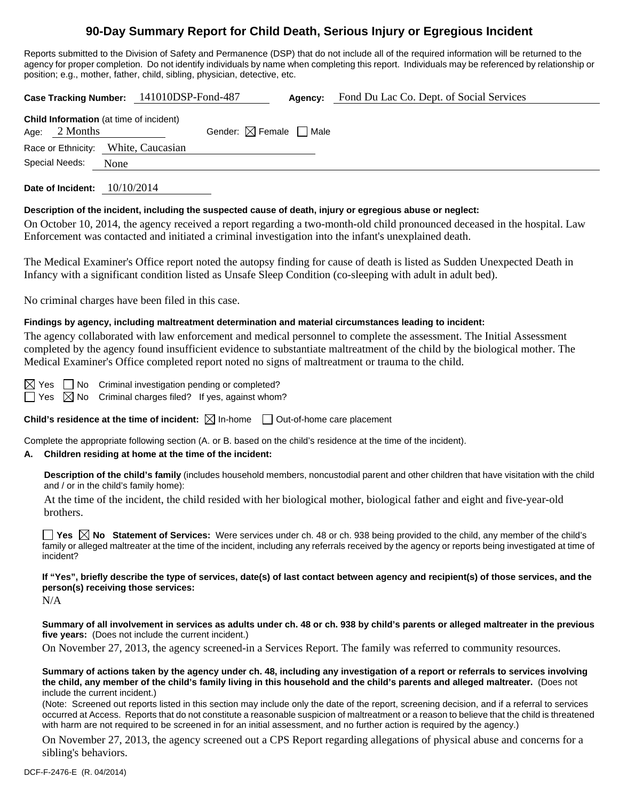# **90-Day Summary Report for Child Death, Serious Injury or Egregious Incident**

Reports submitted to the Division of Safety and Permanence (DSP) that do not include all of the required information will be returned to the agency for proper completion. Do not identify individuals by name when completing this report. Individuals may be referenced by relationship or position; e.g., mother, father, child, sibling, physician, detective, etc.

**Case Tracking Number:** 141010DSP-Fond-487 **Agency:** Fond Du Lac Co. Dept. of Social Services **Child Information** (at time of incident) Age:  $2$  Months Gender:  $\boxtimes$  Female  $\Box$  Male Race or Ethnicity: White, Caucasian Special Needs: None

**Date of Incident:** 10/10/2014

## **Description of the incident, including the suspected cause of death, injury or egregious abuse or neglect:**

On October 10, 2014, the agency received a report regarding a two-month-old child pronounced deceased in the hospital. Law Enforcement was contacted and initiated a criminal investigation into the infant's unexplained death.

The Medical Examiner's Office report noted the autopsy finding for cause of death is listed as Sudden Unexpected Death in Infancy with a significant condition listed as Unsafe Sleep Condition (co-sleeping with adult in adult bed).

No criminal charges have been filed in this case.

## **Findings by agency, including maltreatment determination and material circumstances leading to incident:**

The agency collaborated with law enforcement and medical personnel to complete the assessment. The Initial Assessment completed by the agency found insufficient evidence to substantiate maltreatment of the child by the biological mother. The Medical Examiner's Office completed report noted no signs of maltreatment or trauma to the child.

 $\boxtimes$  Yes  $\Box$  No Criminal investigation pending or completed?

 $\Box$  Yes  $\boxtimes$  No Criminal charges filed? If yes, against whom?

**Child's residence at the time of incident:**  $\boxtimes$  In-home  $\Box$  Out-of-home care placement

Complete the appropriate following section (A. or B. based on the child's residence at the time of the incident).

## **A. Children residing at home at the time of the incident:**

**Description of the child's family** (includes household members, noncustodial parent and other children that have visitation with the child and / or in the child's family home):

 At the time of the incident, the child resided with her biological mother, biological father and eight and five-year-old brothers.

**Yes No** Statement of Services: Were services under ch. 48 or ch. 938 being provided to the child, any member of the child's family or alleged maltreater at the time of the incident, including any referrals received by the agency or reports being investigated at time of incident?

## **If "Yes", briefly describe the type of services, date(s) of last contact between agency and recipient(s) of those services, and the person(s) receiving those services:**

N/A

**Summary of all involvement in services as adults under ch. 48 or ch. 938 by child's parents or alleged maltreater in the previous five years:** (Does not include the current incident.)

On November 27, 2013, the agency screened-in a Services Report. The family was referred to community resources.

**Summary of actions taken by the agency under ch. 48, including any investigation of a report or referrals to services involving the child, any member of the child's family living in this household and the child's parents and alleged maltreater.** (Does not include the current incident.)

(Note: Screened out reports listed in this section may include only the date of the report, screening decision, and if a referral to services occurred at Access. Reports that do not constitute a reasonable suspicion of maltreatment or a reason to believe that the child is threatened with harm are not required to be screened in for an initial assessment, and no further action is required by the agency.)

On November 27, 2013, the agency screened out a CPS Report regarding allegations of physical abuse and concerns for a sibling's behaviors.